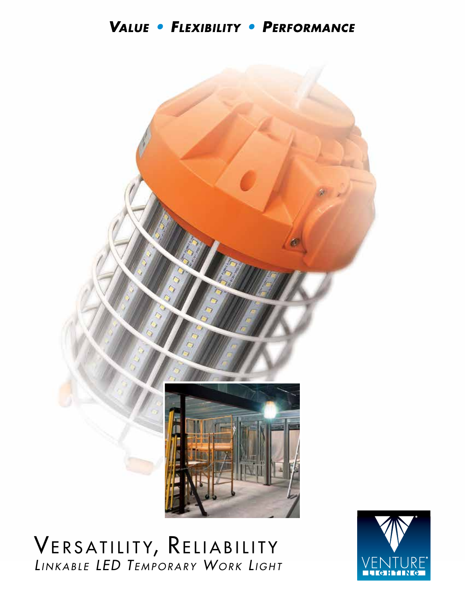### VALUE · FLEXIBILITY · PERFORMANCE



# VERSATILITY, RELIABILITY *Li n k a b <sup>l</sup> e LED T e m p o r a r y Wo r k Li g h <sup>t</sup>*